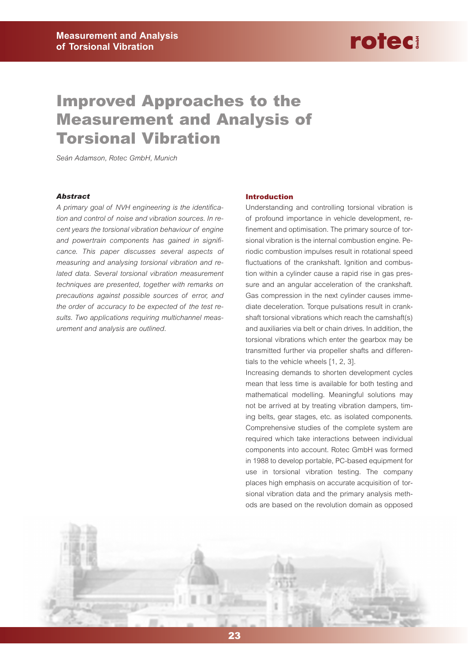### **Improved Approaches to the Measurement and Analysis of Torsional Vibration**

*Seán Adamson, Rotec GmbH, Munich*

#### *Abstract*

*A primary goal of NVH engineering is the identification and control of noise and vibration sources. In recent years the torsional vibration behaviour of engine and powertrain components has gained in significance. This paper discusses several aspects of measuring and analysing torsional vibration and related data. Several torsional vibration measurement techniques are presented, together with remarks on precautions against possible sources of error, and the order of accuracy to be expected of the test results. Two applications requiring multichannel measurement and analysis are outlined.*

#### **Introduction**

Understanding and controlling torsional vibration is of profound importance in vehicle development, refinement and optimisation. The primary source of torsional vibration is the internal combustion engine. Periodic combustion impulses result in rotational speed fluctuations of the crankshaft. Ignition and combustion within a cylinder cause a rapid rise in gas pressure and an angular acceleration of the crankshaft. Gas compression in the next cylinder causes immediate deceleration. Torque pulsations result in crankshaft torsional vibrations which reach the camshaft(s) and auxiliaries via belt or chain drives. In addition, the torsional vibrations which enter the gearbox may be transmitted further via propeller shafts and differentials to the vehicle wheels [1, 2, 3].

Increasing demands to shorten development cycles mean that less time is available for both testing and mathematical modelling. Meaningful solutions may not be arrived at by treating vibration dampers, timing belts, gear stages, etc. as isolated components. Comprehensive studies of the complete system are required which take interactions between individual components into account. Rotec GmbH was formed in 1988 to develop portable, PC-based equipment for use in torsional vibration testing. The company places high emphasis on accurate acquisition of torsional vibration data and the primary analysis methods are based on the revolution domain as opposed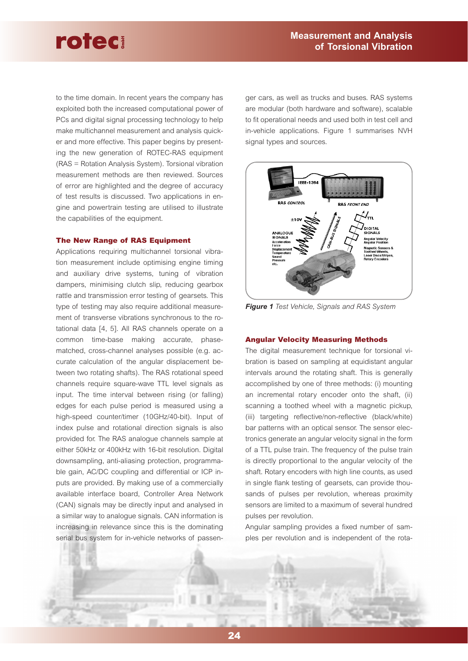to the time domain. In recent years the company has exploited both the increased computational power of PCs and digital signal processing technology to help make multichannel measurement and analysis quicker and more effective. This paper begins by presenting the new generation of ROTEC-RAS equipment (RAS = Rotation Analysis System). Torsional vibration measurement methods are then reviewed. Sources of error are highlighted and the degree of accuracy of test results is discussed. Two applications in engine and powertrain testing are utilised to illustrate the capabilities of the equipment.

#### **The New Range of RAS Equipment**

Applications requiring multichannel torsional vibration measurement include optimising engine timing and auxiliary drive systems, tuning of vibration dampers, minimising clutch slip, reducing gearbox rattle and transmission error testing of gearsets. This type of testing may also require additional measurement of transverse vibrations synchronous to the rotational data [4, 5]. All RAS channels operate on a common time-base making accurate, phasematched, cross-channel analyses possible (e.g. accurate calculation of the angular displacement between two rotating shafts). The RAS rotational speed channels require square-wave TTL level signals as input. The time interval between rising (or falling) edges for each pulse period is measured using a high-speed counter/timer (10GHz/40-bit). Input of index pulse and rotational direction signals is also provided for. The RAS analogue channels sample at either 50kHz or 400kHz with 16-bit resolution. Digital downsampling, anti-aliasing protection, programmable gain, AC/DC coupling and differential or ICP inputs are provided. By making use of a commercially available interface board, Controller Area Network (CAN) signals may be directly input and analysed in a similar way to analogue signals. CAN information is increasing in relevance since this is the dominating serial bus system for in-vehicle networks of passenger cars, as well as trucks and buses. RAS systems are modular (both hardware and software), scalable to fit operational needs and used both in test cell and in-vehicle applications. Figure 1 summarises NVH signal types and sources.



*Figure 1 Test Vehicle, Signals and RAS System*

#### **Angular Velocity Measuring Methods**

The digital measurement technique for torsional vi bration is based on sampling at equidistant angular intervals around the rotating shaft. This is generally accomplished by one of three methods: (i) mounting an incremental rotary encoder onto the shaft, (ii) scanning a toothed wheel with a magnetic pickup, (iii) targeting reflective/non-reflective (black/white) bar patterns with an optical sensor. The sensor elec tronics generate an angular velocity signal in the form of a TTL pulse train. The frequency of the pulse train is directly proportional to the angular velocity of the shaft. Rotary encoders with high line counts, as used in single flank testing of gearsets, can provide thou sands of pulses per revolution, whereas proximity sensors are limited to a maximum of several hundred pulses per revolution.

Angular sampling provides a fixed number of sam ples per revolution and is independent of the rota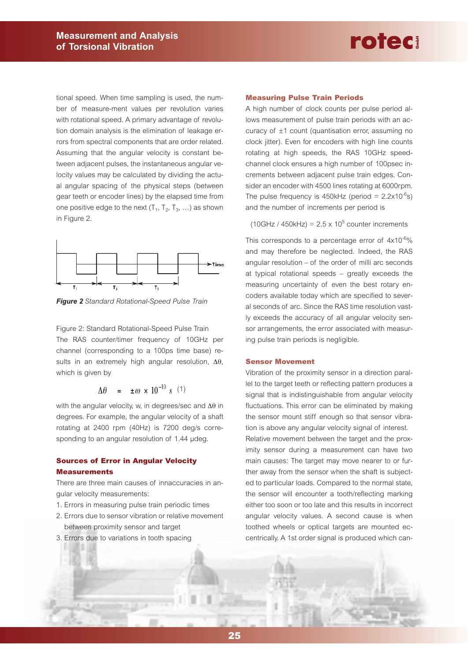tional speed. When time sampling is used, the number of measure-ment values per revolution varies with rotational speed. A primary advantage of revolution domain analysis is the elimination of leakage errors from spectral components that are order related. Assuming that the angular velocity is constant between adjacent pulses, the instantaneous angular velocity values may be calculated by dividing the actual angular spacing of the physical steps (between gear teeth or encoder lines) by the elapsed time from one positive edge to the next  $(T_1, T_2, T_3, ...)$  as shown in Figure 2.



*Figure 2 Standard Rotational-Speed Pulse Train* 

Figure 2: Standard Rotational-Speed Pulse Train The RAS counter/timer frequency of 10GHz per channel (corresponding to a 100ps time base) results in an extremely high angular resolution, ∆θ, which is given by

$$
\Delta\theta = \pm \omega \times 10^{-10} \text{ s} \quad (1)
$$

with the angular velocity, w, in degrees/sec and ∆θ in degrees. For example, the angular velocity of a shaft rotating at 2400 rpm (40Hz) is 7200 deg/s corresponding to an angular resolution of 1.44 µdeg.

#### **Sources of Error in Angular Velocity Measurements**

There are three main causes of innaccuracies in angular velocity measurements:

- 1. Errors in measuring pulse train periodic times
- 2. Errors due to sensor vibration or relative movement between proximity sensor and target
- 3. Errors due to variations in tooth spacing

#### **Measuring Pulse Train Periods**

A high number of clock counts per pulse period allows measurement of pulse train periods with an accuracy of ±1 count (quantisation error, assuming no clock jitter). Even for encoders with high line counts rotating at high speeds, the RAS 10GHz speedchannel clock ensures a high number of 100psec increments between adjacent pulse train edges. Consider an encoder with 4500 lines rotating at 6000rpm. The pulse frequency is 450kHz (period =  $2.2 \times 10^{-6}$ s) and the number of increments per period is

rotec

 $(10GHz / 450kHz) = 2.5 \times 10^5$  counter increments

This corresponds to a percentage error of 4x10-6% and may therefore be neglected. Indeed, the RAS angular resolution – of the order of milli arc seconds at typical rotational speeds – greatly exceeds the measuring uncertainty of even the best rotary encoders available today which are specified to several seconds of arc. Since the RAS time resolution vastly exceeds the accuracy of all angular velocity sensor arrangements, the error associated with measuring pulse train periods is negligible.

#### **Sensor Movement**

Vibration of the proximity sensor in a direction parallel to the target teeth or reflecting pattern produces a signal that is indistinguishable from angular velocity fluctuations. This error can be eliminated by making the sensor mount stiff enough so that sensor vibration is above any angular velocity signal of interest. Relative movement between the target and the prox-

imity sensor during a measurement can have two main causes: The target may move nearer to or further away from the sensor when the shaft is subjected to particular loads. Compared to the normal state, the sensor will encounter a tooth/reflecting marking either too soon or too late and this results in incorrect angular velocity values. A second cause is when toothed wheels or optical targets are mounted eccentrically. A 1st order signal is produced which can-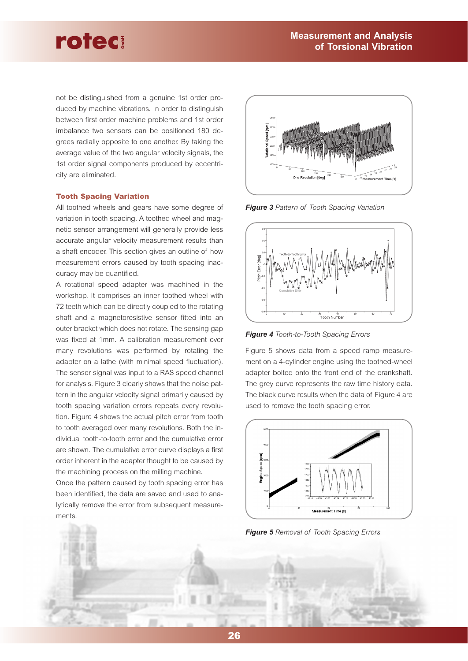not be distinguished from a genuine 1st order produced by machine vibrations. In order to distinguish between first order machine problems and 1st order imbalance two sensors can be positioned 180 degrees radially opposite to one another. By taking the average value of the two angular velocity signals, the 1st order signal components produced by eccentricity are eliminated.

#### **Tooth Spacing Variation**

All toothed wheels and gears have some degree of variation in tooth spacing. A toothed wheel and magnetic sensor arrangement will generally provide less accurate angular velocity measurement results than a shaft encoder. This section gives an outline of how measurement errors caused by tooth spacing inaccuracy may be quantified.

A rotational speed adapter was machined in the workshop. It comprises an inner toothed wheel with 72 teeth which can be directly coupled to the rotating shaft and a magnetoresistive sensor fitted into an outer bracket which does not rotate. The sensing gap was fixed at 1mm. A calibration measurement over many revolutions was performed by rotating the adapter on a lathe (with minimal speed fluctuation). The sensor signal was input to a RAS speed channel for analysis. Figure 3 clearly shows that the noise pattern in the angular velocity signal primarily caused by tooth spacing variation errors repeats every revolution. Figure 4 shows the actual pitch error from tooth to tooth averaged over many revolutions. Both the individual tooth-to-tooth error and the cumulative error are shown. The cumulative error curve displays a first order inherent in the adapter thought to be caused by the machining process on the milling machine.

Once the pattern caused by tooth spacing error has been identified, the data are saved and used to analytically remove the error from subsequent measurements.



*Figure 3 Pattern of Tooth Spacing Variation* 



*Figure 4 Tooth-to-Tooth Spacing Errors* 

Figure 5 shows data from a speed ramp measurement on a 4-cylinder engine using the toothed-wheel adapter bolted onto the front end of the crankshaft. The grey curve represents the raw time history data. The black curve results when the data of Figure 4 are used to remove the tooth spacing error.



*Figure 5 Removal of Tooth Spacing Errors*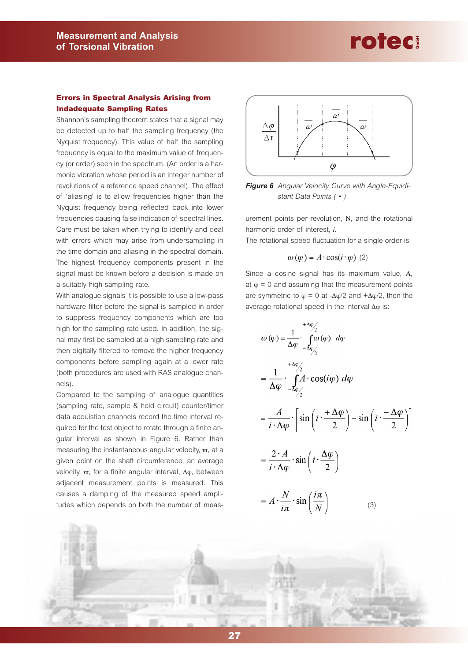

#### **Errors in Spectral Analysis Arising from Indadequate Sampling Rates**

Shannon's sampling theorem states that a signal may be detected up to half the sampling frequency (the Nyquist frequency). This value of half the sampling frequency is equal to the maximum value of frequency (or order) seen in the spectrum. (An order is a harmonic vibration whose period is an integer number of revolutions of a reference speed channel). The effect of 'aliasing' is to allow frequencies higher than the Nyquist frequency being reflected back into lower frequencies causing false indication of spectral lines. Care must be taken when trying to identify and deal with errors which may arise from undersampling in the time domain and aliasing in the spectral domain. The highest frequency components present in the signal must be known before a decision is made on a suitably high sampling rate.

With analogue signals it is possible to use a low-pass hardware filter before the signal is sampled in order to suppress frequency components which are too high for the sampling rate used. In addition, the signal may first be sampled at a high sampling rate and then digitally filtered to remove the higher frequency components before sampling again at a lower rate (both procedures are used with RAS analogue channels).

Compared to the sampling of analogue quantities (sampling rate, sample & hold circuit) counter/timer data acquistion channels record the time interval required for the test object to rotate through a finite angular interval as shown in Figure 6. Rather than measuring the instantaneous angular velocity,  $\varpi$ , at a given point on the shaft circumference, an average velocity,  $\varpi$ , for a finite angular interval, Δφ, between adjacent measurement points is measured. This causes a damping of the measured speed amplitudes which depends on both the number of meas-



**Figure 6** Angular Velocity Curve with Angle-Equidi*stant Data Points ( • )* 

urement points per revolution, Ν, and the rotational harmonic order of interest, *i*.

The rotational speed fluctuation for a single order is

$$
\omega(\varphi) = A \cdot \cos(i \cdot \varphi) \tag{2}
$$

Since a cosine signal has its maximum value, Α, at  $\varphi = 0$  and assuming that the measurement points are symmetric to  $\varphi = 0$  at - $\Delta \varphi/2$  and + $\Delta \varphi/2$ , then the average rotational speed in the interval Δφ is:

$$
\overline{\omega}(\varphi) = \frac{1}{\Delta \varphi} \cdot \int_{-\Delta \varphi/2}^{\Delta \varphi/2} (\varphi) d\varphi
$$
  
\n
$$
= \frac{1}{\Delta \varphi} \cdot \int_{-\Delta \varphi/2}^{\Delta \varphi/2} A \cdot \cos(i\varphi) d\varphi
$$
  
\n
$$
= \frac{A}{i \cdot \Delta \varphi} \cdot \left[ \sin\left(i \cdot \frac{\Delta \varphi}{2}\right) - \sin\left(i \cdot \frac{\Delta \varphi}{2}\right) \right]
$$
  
\n
$$
= \frac{2 \cdot A}{i \cdot \Delta \varphi} \cdot \sin\left(i \cdot \frac{\Delta \varphi}{2}\right)
$$
  
\n
$$
= A \cdot \frac{N}{i\pi} \cdot \sin\left(\frac{i\pi}{N}\right) \qquad (3)
$$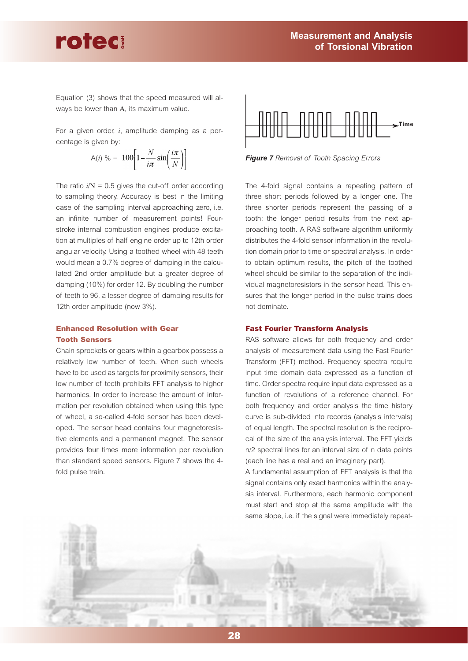Equation (3) shows that the speed measured will always be lower than Α, its maximum value.

rotec

For a given order, *i*, amplitude damping as a percentage is given by:

$$
A(i) \% = 100 \left[ 1 - \frac{N}{i\pi} \sin\left(\frac{i\pi}{N}\right) \right]
$$

The ratio *i*/Ν = 0.5 gives the cut-off order according to sampling theory. Accuracy is best in the limiting case of the sampling interval approaching zero, i.e. an infinite number of measurement points! Fourstroke internal combustion engines produce excitation at multiples of half engine order up to 12th order angular velocity. Using a toothed wheel with 48 teeth would mean a 0.7% degree of damping in the calculated 2nd order amplitude but a greater degree of damping (10%) for order 12. By doubling the number of teeth to 96, a lesser degree of damping results for 12th order amplitude (now 3%).

#### **Enhanced Resolution with Gear Tooth Sensors**

Chain sprockets or gears within a gearbox possess a relatively low number of teeth. When such wheels have to be used as targets for proximity sensors, their low number of teeth prohibits FFT analysis to higher harmonics. In order to increase the amount of information per revolution obtained when using this type of wheel, a so-called 4-fold sensor has been developed. The sensor head contains four magnetoresistive elements and a permanent magnet. The sensor provides four times more information per revolution than standard speed sensors. Figure 7 shows the 4 fold pulse train.



*Figure 7 Removal of Tooth Spacing Errors* 

The 4-fold signal contains a repeating pattern of three short periods followed by a longer one. The three shorter periods represent the passing of <sup>a</sup> tooth; the longer period results from the next approaching tooth. A RAS software algorithm uniformly distributes the 4-fold sensor information in the revolution domain prior to time or spectral analysis. In order to obtain optimum results, the pitch of the toothed wheel should be similar to the separation of the individual magnetoresistors in the sensor head. This ensures that the longer period in the pulse trains does not dominate.

#### **Fast Fourier Transform Analysis**

RAS software allows for both frequency and order analysis of measurement data using the Fast Fourier Transform (FFT) method. Frequency spectra require input time domain data expressed as a function of time. Order spectra require input data expressed as a function of revolutions of a reference channel. For both frequency and order analysis the time history curve is sub-divided into records (analysis intervals) of equal length. The spectral resolution is the reciprocal of the size of the analysis interval. The FFT yields n/2 spectral lines for an interval size of n data points (each line has a real and an imaginery part).

A fundamental assumption of FFT analysis is that the signal contains only exact harmonics within the analysis interval. Furthermore, each harmonic component must start and stop at the same amplitude with the same slope, i.e. if the signal were immediately repeat-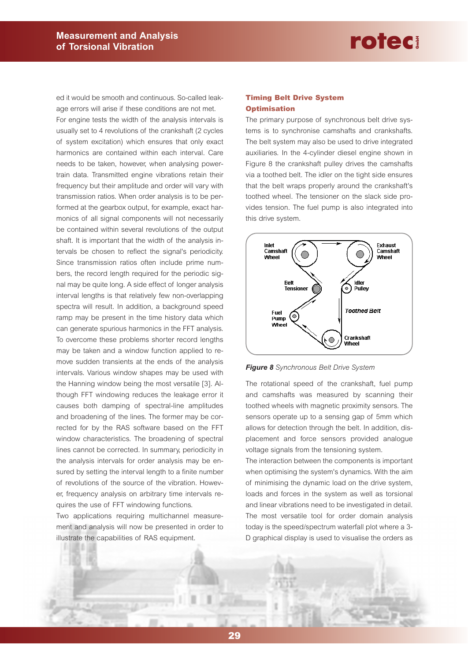ed it would be smooth and continuous. So-called leakage errors will arise if these conditions are not met.

For engine tests the width of the analysis intervals is usually set to 4 revolutions of the crankshaft (2 cycles of system excitation) which ensures that only exact harmonics are contained within each interval. Care needs to be taken, however, when analysing powertrain data. Transmitted engine vibrations retain their frequency but their amplitude and order will vary with transmission ratios. When order analysis is to be performed at the gearbox output, for example, exact harmonics of all signal components will not necessarily be contained within several revolutions of the output shaft. It is important that the width of the analysis intervals be chosen to reflect the signal's periodicity. Since transmission ratios often include prime numbers, the record length required for the periodic signal may be quite long. A side effect of longer analysis interval lengths is that relatively few non-overlapping spectra will result. In addition, a background speed ramp may be present in the time history data which can generate spurious harmonics in the FFT analysis. To overcome these problems shorter record lengths may be taken and a window function applied to remove sudden transients at the ends of the analysis intervals. Various window shapes may be used with the Hanning window being the most versatile [3]. Although FFT windowing reduces the leakage error it causes both damping of spectral-line amplitudes and broadening of the lines. The former may be corrected for by the RAS software based on the FFT window characteristics. The broadening of spectral lines cannot be corrected. In summary, periodicity in the analysis intervals for order analysis may be ensured by setting the interval length to a finite number of revolutions of the source of the vibration. However, frequency analysis on arbitrary time intervals requires the use of FFT windowing functions.

Two applications requiring multichannel measurement and analysis will now be presented in order to illustrate the capabilities of RAS equipment.

#### **Timing Belt Drive System Optimisation**

The primary purpose of synchronous belt drive systems is to synchronise camshafts and crankshafts. The belt system may also be used to drive integrated auxiliaries. In the 4-cylinder diesel engine shown in Figure 8 the crankshaft pulley drives the camshafts via a toothed belt. The idler on the tight side ensures that the belt wraps properly around the crankshaft's toothed wheel. The tensioner on the slack side provides tension. The fuel pump is also integrated into this drive system.



*Figure 8 Synchronous Belt Drive System* 

The rotational speed of the crankshaft, fuel pump and camshafts was measured by scanning their toothed wheels with magnetic proximity sensors. The sensors operate up to a sensing gap of 5mm which allows for detection through the belt. In addition, displacement and force sensors provided analogue voltage signals from the tensioning system.

The interaction between the components is important when optimising the system's dynamics. With the aim of minimising the dynamic load on the drive system, loads and forces in the system as well as torsional and linear vibrations need to be investigated in detail. The most versatile tool for order domain analysis today is the speed/spectrum waterfall plot where a 3- D graphical display is used to visualise the orders as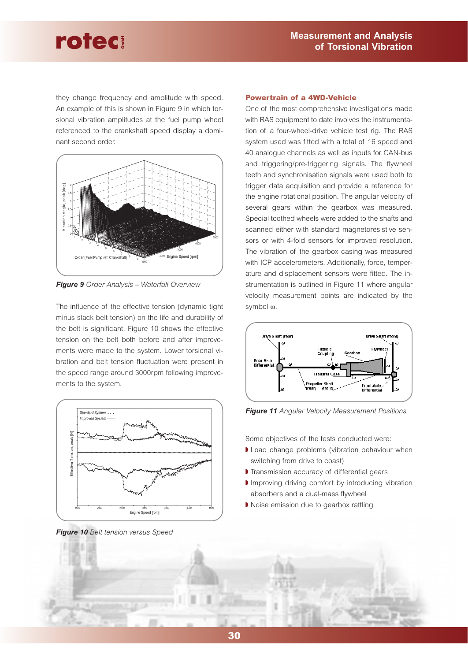they change frequency and amplitude with speed. An example of this is shown in Figure 9 in which torsional vibration amplitudes at the fuel pump wheel referenced to the crankshaft speed display a dominant second order.



*Figure 9 Order Analysis – Waterfall Overview* 

The influence of the effective tension (dynamic tight minus slack belt tension) on the life and durability of the belt is significant. Figure 10 shows the effective tension on the belt both before and after improvements were made to the system. Lower torsional vibration and belt tension fluctuation were present in the speed range around 3000rpm following improvements to the system.



*Figure 10 Belt tension versus Speed* 

#### **Powertrain of a 4WD-Vehicle**

One of the most comprehensive investigations made with RAS equipment to date involves the instrumentation of a four-wheel-drive vehicle test rig. The RAS system used was fitted with a total of 16 speed and 40 analogue channels as well as inputs for CAN-bus and triggering/pre-triggering signals. The flywheel teeth and synchronisation signals were used both to trigger data acquisition and provide a reference for the engine rotational position. The angular velocity of several gears within the gearbox was measured. Special toothed wheels were added to the shafts and scanned either with standard magnetoresistive sensors or with 4-fold sensors for improved resolution. The vibration of the gearbox casing was measured with ICP accelerometers. Additionally, force, temperature and displacement sensors were fitted. The instrumentation is outlined in Figure 11 where angular velocity measurement points are indicated by the symbol <sup>ω</sup>.



*Figure 11 Angular Velocity Measurement Positions* 

Some objectives of the tests conducted were:

- ◗ Load change problems (vibration behaviour when switching from drive to coast)
- ◗ Transmission accuracy of differential gears
- ◗ Improving driving comfort by introducing vibration absorbers and a dual-mass flywheel
- ◗ Noise emission due to gearbox rattling